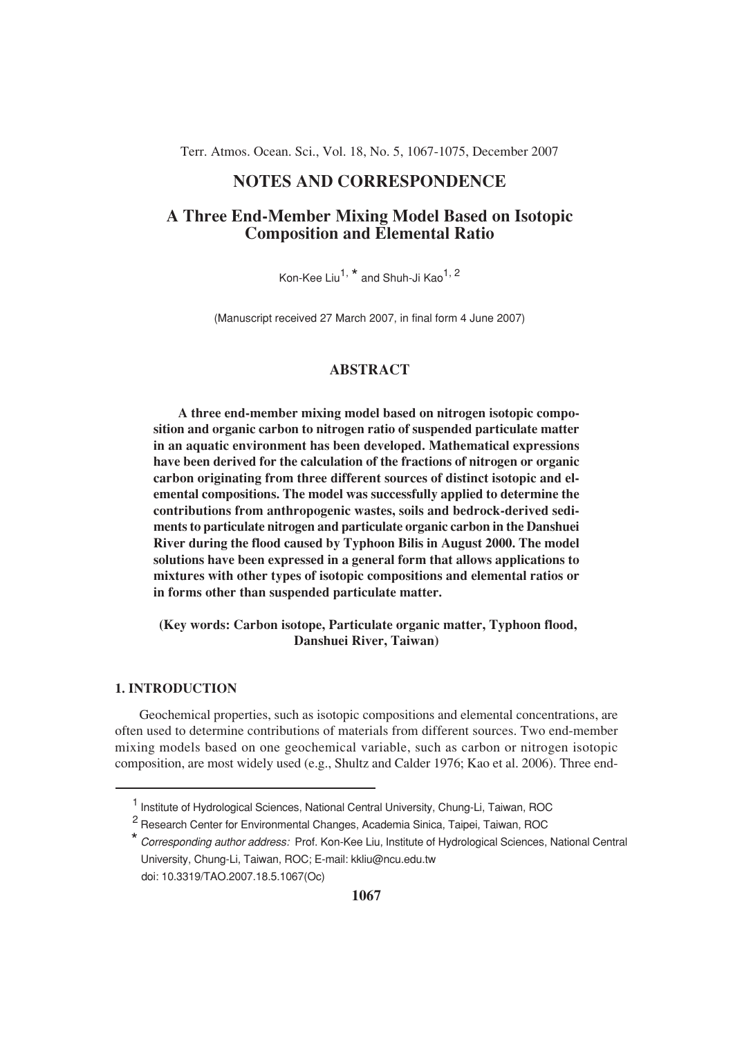Terr. Atmos. Ocean. Sci., Vol. 18, No. 5, 1067-1075, December 2007

# **NOTES AND CORRESPONDENCE**

# **A Three End-Member Mixing Model Based on Isotopic Composition and Elemental Ratio**

Kon-Kee Liu<sup>1, \*</sup> and Shuh-Ji Kao<sup>1, 2</sup>

(Manuscript received 27 March 2007, in final form 4 June 2007)

## **ABSTRACT**

**A three end-member mixing model based on nitrogen isotopic composition and organic carbon to nitrogen ratio of suspended particulate matter in an aquatic environment has been developed. Mathematical expressions have been derived for the calculation of the fractions of nitrogen or organic carbon originating from three different sources of distinct isotopic and elemental compositions. The model was successfully applied to determine the contributions from anthropogenic wastes, soils and bedrock-derived sediments to particulate nitrogen and particulate organic carbon in the Danshuei River during the flood caused by Typhoon Bilis in August 2000. The model solutions have been expressed in a general form that allows applications to mixtures with other types of isotopic compositions and elemental ratios or in forms other than suspended particulate matter.**

 **(Key words: Carbon isotope, Particulate organic matter, Typhoon flood, Danshuei River, Taiwan)**

#### **1. INTRODUCTION**

Geochemical properties, such as isotopic compositions and elemental concentrations, are often used to determine contributions of materials from different sources. Two end-member mixing models based on one geochemical variable, such as carbon or nitrogen isotopic composition, are most widely used (e.g., Shultz and Calder 1976; Kao et al. 2006). Three end-

<sup>&</sup>lt;sup>1</sup> Institute of Hydrological Sciences, National Central University, Chung-Li, Taiwan, ROC

<sup>&</sup>lt;sup>2</sup> Research Center for Environmental Changes, Academia Sinica, Taipei, Taiwan, ROC

<sup>\*</sup> Corresponding author address: Prof. Kon-Kee Liu, Institute of Hydrological Sciences, National Central University, Chung-Li, Taiwan, ROC; E-mail: kkliu@ncu.edu.tw doi: 10.3319/TAO.2007.18.5.1067(Oc)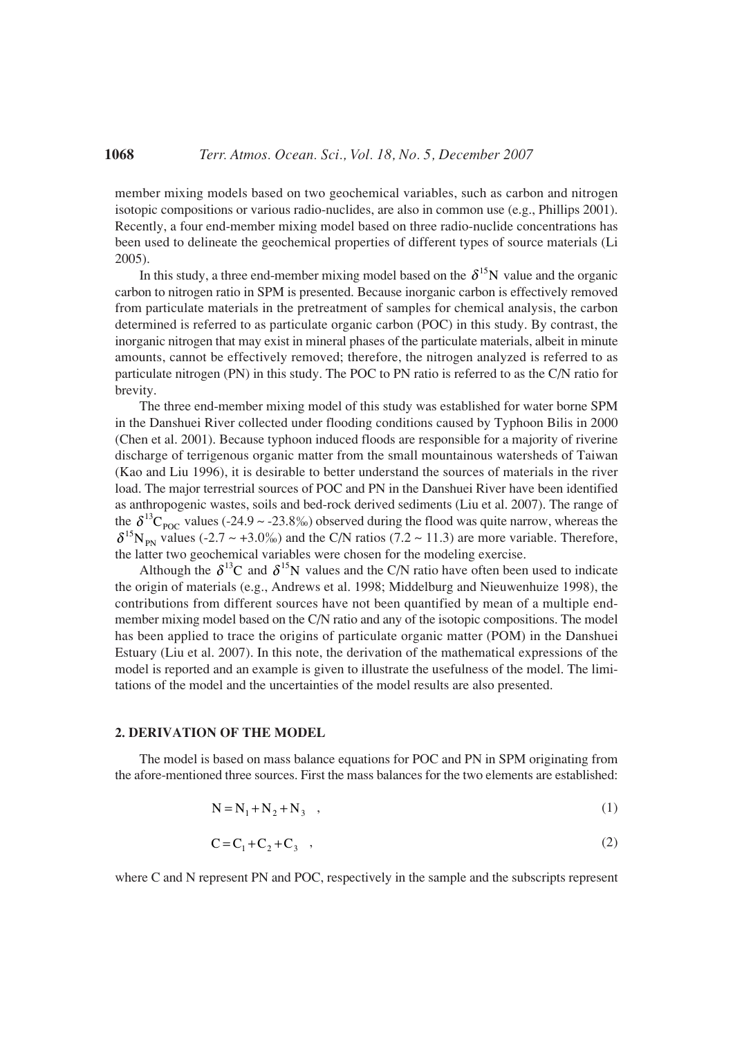member mixing models based on two geochemical variables, such as carbon and nitrogen isotopic compositions or various radio-nuclides, are also in common use (e.g., Phillips 2001). Recently, a four end-member mixing model based on three radio-nuclide concentrations has been used to delineate the geochemical properties of different types of source materials (Li 2005).

In this study, a three end-member mixing model based on the  $\delta^{15}N$  value and the organic carbon to nitrogen ratio in SPM is presented. Because inorganic carbon is effectively removed from particulate materials in the pretreatment of samples for chemical analysis, the carbon determined is referred to as particulate organic carbon (POC) in this study. By contrast, the inorganic nitrogen that may exist in mineral phases of the particulate materials, albeit in minute amounts, cannot be effectively removed; therefore, the nitrogen analyzed is referred to as particulate nitrogen (PN) in this study. The POC to PN ratio is referred to as the C/N ratio for brevity.

The three end-member mixing model of this study was established for water borne SPM in the Danshuei River collected under flooding conditions caused by Typhoon Bilis in 2000 (Chen et al. 2001). Because typhoon induced floods are responsible for a majority of riverine discharge of terrigenous organic matter from the small mountainous watersheds of Taiwan (Kao and Liu 1996), it is desirable to better understand the sources of materials in the river load. The major terrestrial sources of POC and PN in the Danshuei River have been identified as anthropogenic wastes, soils and bed-rock derived sediments (Liu et al. 2007). The range of the  $\delta^{13}C_{\text{poc}}$  values (-24.9 ~ -23.8%) observed during the flood was quite narrow, whereas the  $\delta^{15}N_{PN}$  values (-2.7 ~ +3.0%) and the C/N ratios (7.2 ~ 11.3) are more variable. Therefore, the latter two geochemical variables were chosen for the modeling exercise.

Although the  $\delta^{13}C$  and  $\delta^{15}N$  values and the C/N ratio have often been used to indicate the origin of materials (e.g., Andrews et al. 1998; Middelburg and Nieuwenhuize 1998), the contributions from different sources have not been quantified by mean of a multiple endmember mixing model based on the C/N ratio and any of the isotopic compositions. The model has been applied to trace the origins of particulate organic matter (POM) in the Danshuei Estuary (Liu et al. 2007). In this note, the derivation of the mathematical expressions of the model is reported and an example is given to illustrate the usefulness of the model. The limitations of the model and the uncertainties of the model results are also presented.

#### **2. DERIVATION OF THE MODEL**

The model is based on mass balance equations for POC and PN in SPM originating from the afore-mentioned three sources. First the mass balances for the two elements are established:

$$
N = N_1 + N_2 + N_3 \t\t(1)
$$

$$
C = C1 + C2 + C3 , \t\t(2)
$$

where C and N represent PN and POC, respectively in the sample and the subscripts represent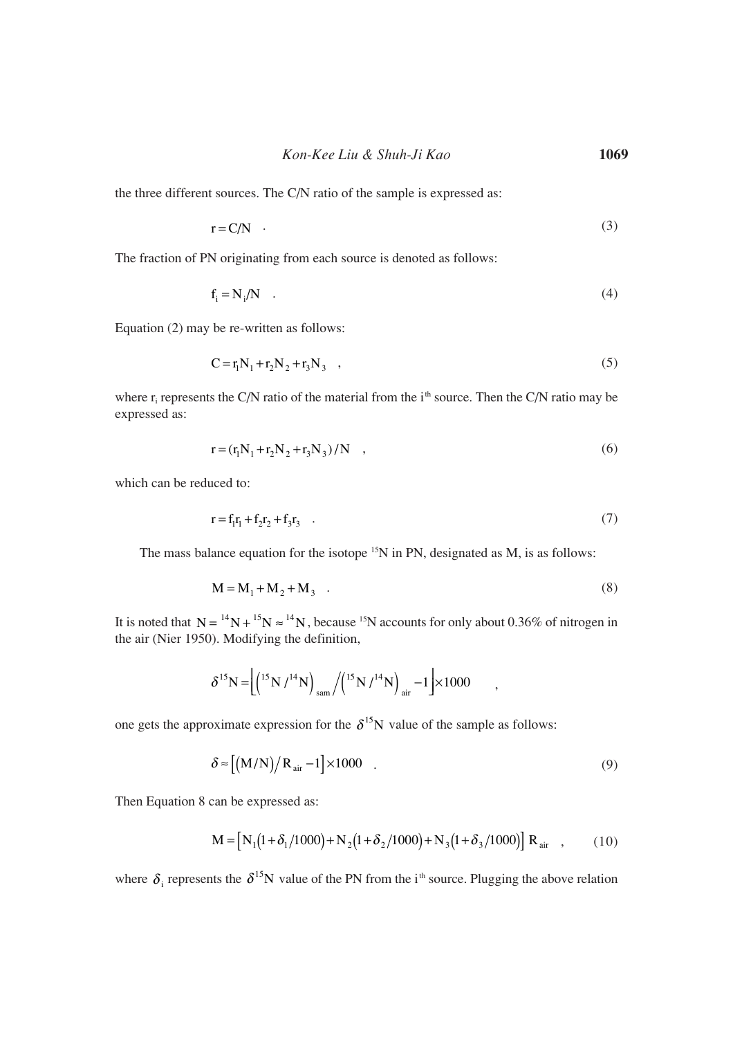*Kon-Kee Liu & Shuh-Ji Kao* **1069**

the three different sources. The C/N ratio of the sample is expressed as:

$$
r = C/N \tag{3}
$$

The fraction of PN originating from each source is denoted as follows:

$$
f_i = N_i/N \quad . \tag{4}
$$

Equation (2) may be re-written as follows:

$$
C = r_1 N_1 + r_2 N_2 + r_3 N_3 \quad , \tag{5}
$$

where  $r_i$  represents the C/N ratio of the material from the  $i<sup>th</sup>$  source. Then the C/N ratio may be expressed as:

$$
r = (r_1 N_1 + r_2 N_2 + r_3 N_3) / N \quad , \tag{6}
$$

which can be reduced to:

$$
r = f_1 r_1 + f_2 r_2 + f_3 r_3 \quad . \tag{7}
$$

The mass balance equation for the isotope  $15N$  in PN, designated as M, is as follows:

$$
M = M_1 + M_2 + M_3 \quad . \tag{8}
$$

It is noted that  $N = {}^{14}N + {}^{15}N \approx {}^{14}N$ , because  ${}^{15}N$  accounts for only about 0.36% of nitrogen in the air (Nier 1950). Modifying the definition,

$$
\delta^{15} \text{N} = \left[ \left( \binom{15}{1} \frac{1^4 \text{N}}{\text{sun}} / \left( \binom{15}{1} \frac{1^4 \text{N}}{\text{air}} - 1 \right) \times 1000 \right] \right],
$$

one gets the approximate expression for the  $\delta^{15}$ N value of the sample as follows:

$$
\delta \approx \left[ \left( M/N \right) / R_{\text{air}} - 1 \right] \times 1000 \quad . \tag{9}
$$

Then Equation 8 can be expressed as:

$$
\mathbf{M} = \left[ \mathbf{N}_1 \left( 1 + \delta_1 / 1000 \right) + \mathbf{N}_2 \left( 1 + \delta_2 / 1000 \right) + \mathbf{N}_3 \left( 1 + \delta_3 / 1000 \right) \right] \mathbf{R}_{\text{air}} \quad , \tag{10}
$$

where  $\delta_i$  represents the  $\delta^{15}N$  value of the PN from the i<sup>th</sup> source. Plugging the above relation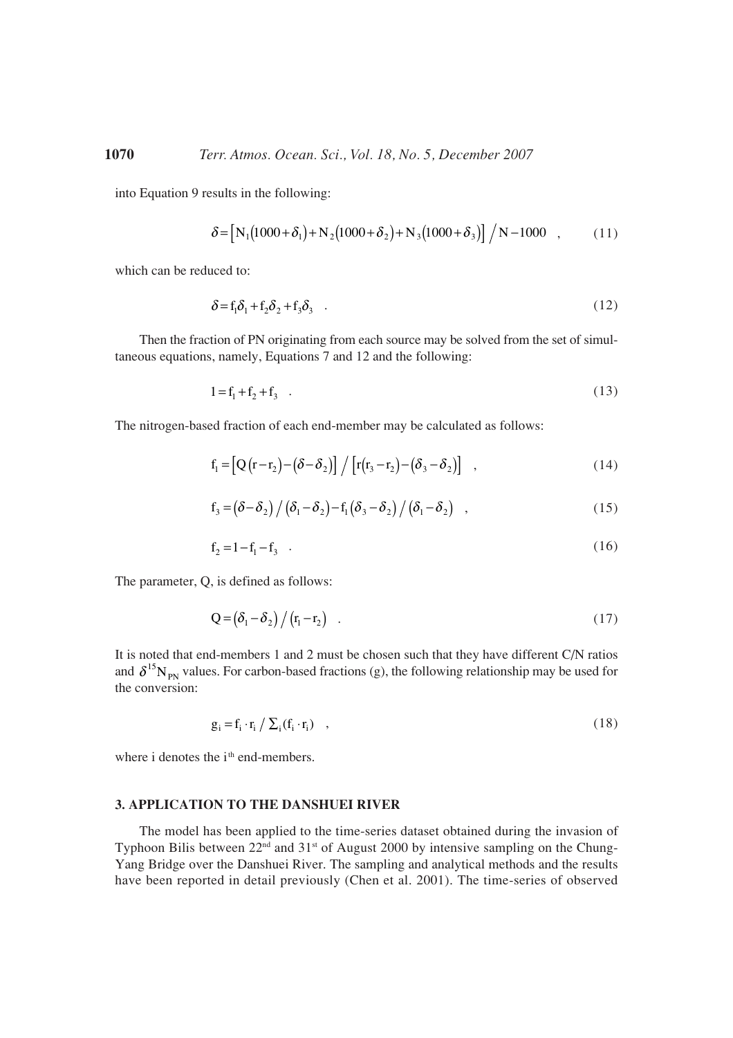into Equation 9 results in the following:

$$
\delta = \left[ N_1 (1000 + \delta_1) + N_2 (1000 + \delta_2) + N_3 (1000 + \delta_3) \right] / N - 1000 \quad , \tag{11}
$$

which can be reduced to:

$$
\delta = f_1 \delta_1 + f_2 \delta_2 + f_3 \delta_3 \quad . \tag{12}
$$

Then the fraction of PN originating from each source may be solved from the set of simultaneous equations, namely, Equations 7 and 12 and the following:

$$
1 = f_1 + f_2 + f_3 \tag{13}
$$

The nitrogen-based fraction of each end-member may be calculated as follows:

$$
f_1 = \left[Q(r-r_2)-(\delta-\delta_2)\right] / \left[r(r_3-r_2)-(\delta_3-\delta_2)\right] , \qquad (14)
$$

$$
f_3 = (\delta - \delta_2) / (\delta_1 - \delta_2) - f_1 (\delta_3 - \delta_2) / (\delta_1 - \delta_2) , \qquad (15)
$$

$$
f_2 = 1 - f_1 - f_3 \tag{16}
$$

The parameter, Q, is defined as follows:

$$
Q = \left(\delta_1 - \delta_2\right) / \left(r_1 - r_2\right) \quad . \tag{17}
$$

It is noted that end-members 1 and 2 must be chosen such that they have different C/N ratios and  $\delta^{15}N_{PN}$  values. For carbon-based fractions (g), the following relationship may be used for the conversion:

$$
g_i = f_i \cdot r_i / \sum_i (f_i \cdot r_i) \quad , \tag{18}
$$

where i denotes the i<sup>th</sup> end-members.

## **3. APPLICATION TO THE DANSHUEI RIVER**

The model has been applied to the time-series dataset obtained during the invasion of Typhoon Bilis between  $22<sup>nd</sup>$  and  $31<sup>st</sup>$  of August 2000 by intensive sampling on the Chung-Yang Bridge over the Danshuei River. The sampling and analytical methods and the results have been reported in detail previously (Chen et al. 2001). The time-series of observed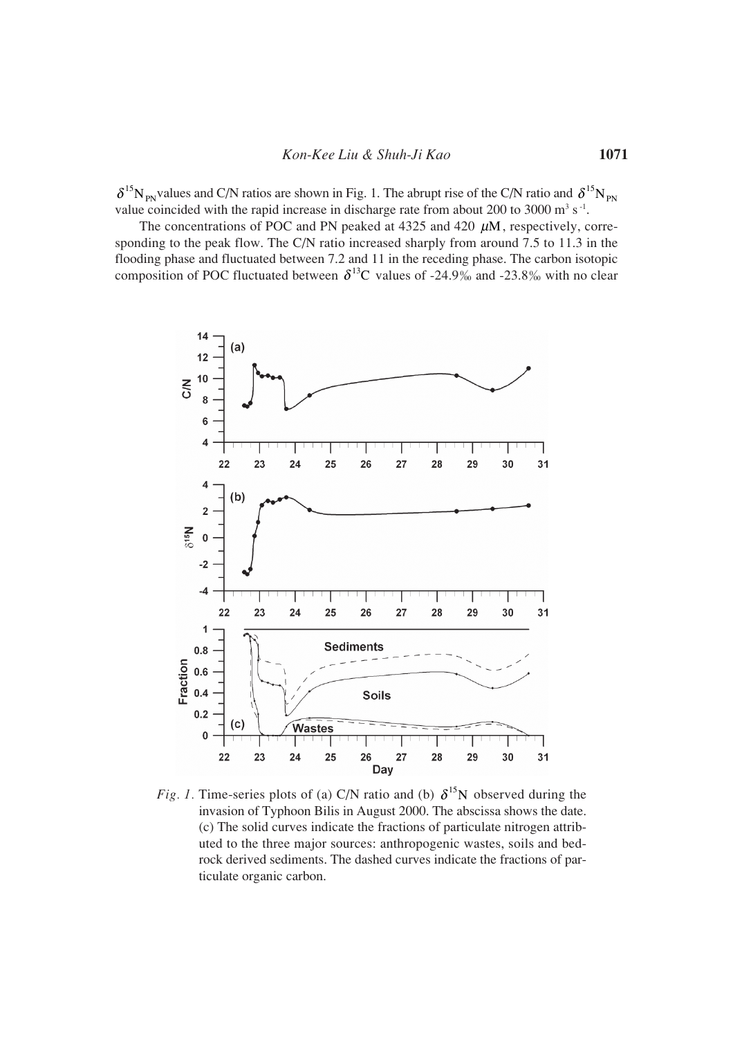$\delta^{15}N_{PN}$  values and C/N ratios are shown in Fig. 1. The abrupt rise of the C/N ratio and  $\delta^{15}N_{PN}$ value coincided with the rapid increase in discharge rate from about 200 to 3000  $\text{m}^3$  s<sup>-1</sup>.

The concentrations of POC and PN peaked at 4325 and 420  $\mu$ M, respectively, corresponding to the peak flow. The C/N ratio increased sharply from around 7.5 to 11.3 in the flooding phase and fluctuated between 7.2 and 11 in the receding phase. The carbon isotopic composition of POC fluctuated between  $\delta^{13}$ C values of -24.9‰ and -23.8‰ with no clear



*Fig. 1.* Time-series plots of (a) C/N ratio and (b)  $\delta^{15}$ N observed during the invasion of Typhoon Bilis in August 2000. The abscissa shows the date. (c) The solid curves indicate the fractions of particulate nitrogen attributed to the three major sources: anthropogenic wastes, soils and bedrock derived sediments. The dashed curves indicate the fractions of particulate organic carbon.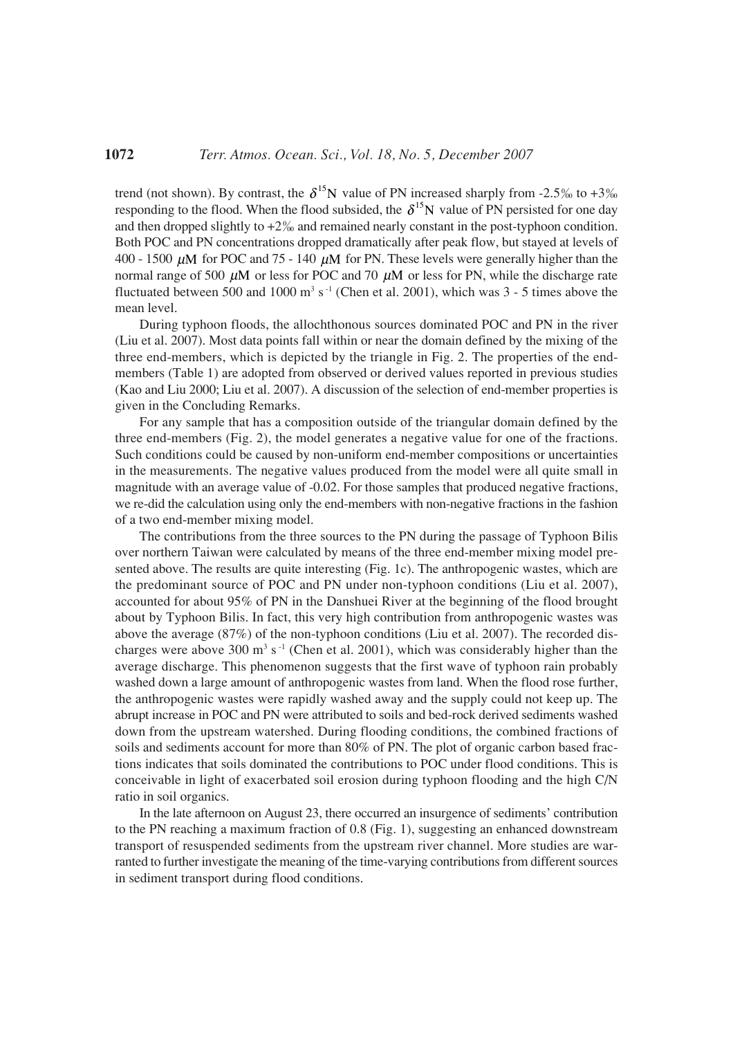trend (not shown). By contrast, the  $\delta^{15}N$  value of PN increased sharply from -2.5% to +3% responding to the flood. When the flood subsided, the  $\delta^{15}N$  value of PN persisted for one day and then dropped slightly to  $+2\%$  and remained nearly constant in the post-typhoon condition. Both POC and PN concentrations dropped dramatically after peak flow, but stayed at levels of 400 - 1500  $\mu$ M for POC and 75 - 140  $\mu$ M for PN. These levels were generally higher than the normal range of 500  $\mu$ M or less for POC and 70  $\mu$ M or less for PN, while the discharge rate fluctuated between 500 and 1000  $\text{m}^3$  s<sup>-1</sup> (Chen et al. 2001), which was 3 - 5 times above the mean level.

During typhoon floods, the allochthonous sources dominated POC and PN in the river (Liu et al. 2007). Most data points fall within or near the domain defined by the mixing of the three end-members, which is depicted by the triangle in Fig. 2. The properties of the endmembers (Table 1) are adopted from observed or derived values reported in previous studies (Kao and Liu 2000; Liu et al. 2007). A discussion of the selection of end-member properties is given in the Concluding Remarks.

For any sample that has a composition outside of the triangular domain defined by the three end-members (Fig. 2), the model generates a negative value for one of the fractions. Such conditions could be caused by non-uniform end-member compositions or uncertainties in the measurements. The negative values produced from the model were all quite small in magnitude with an average value of -0.02. For those samples that produced negative fractions, we re-did the calculation using only the end-members with non-negative fractions in the fashion of a two end-member mixing model.

The contributions from the three sources to the PN during the passage of Typhoon Bilis over northern Taiwan were calculated by means of the three end-member mixing model presented above. The results are quite interesting (Fig. 1c). The anthropogenic wastes, which are the predominant source of POC and PN under non-typhoon conditions (Liu et al. 2007), accounted for about 95% of PN in the Danshuei River at the beginning of the flood brought about by Typhoon Bilis. In fact, this very high contribution from anthropogenic wastes was above the average (87%) of the non-typhoon conditions (Liu et al. 2007). The recorded discharges were above 300  $\text{m}^3$  s<sup>-1</sup> (Chen et al. 2001), which was considerably higher than the average discharge. This phenomenon suggests that the first wave of typhoon rain probably washed down a large amount of anthropogenic wastes from land. When the flood rose further, the anthropogenic wastes were rapidly washed away and the supply could not keep up. The abrupt increase in POC and PN were attributed to soils and bed-rock derived sediments washed down from the upstream watershed. During flooding conditions, the combined fractions of soils and sediments account for more than 80% of PN. The plot of organic carbon based fractions indicates that soils dominated the contributions to POC under flood conditions. This is conceivable in light of exacerbated soil erosion during typhoon flooding and the high C/N ratio in soil organics.

In the late afternoon on August 23, there occurred an insurgence of sediments' contribution to the PN reaching a maximum fraction of 0.8 (Fig. 1), suggesting an enhanced downstream transport of resuspended sediments from the upstream river channel. More studies are warranted to further investigate the meaning of the time-varying contributions from different sources in sediment transport during flood conditions.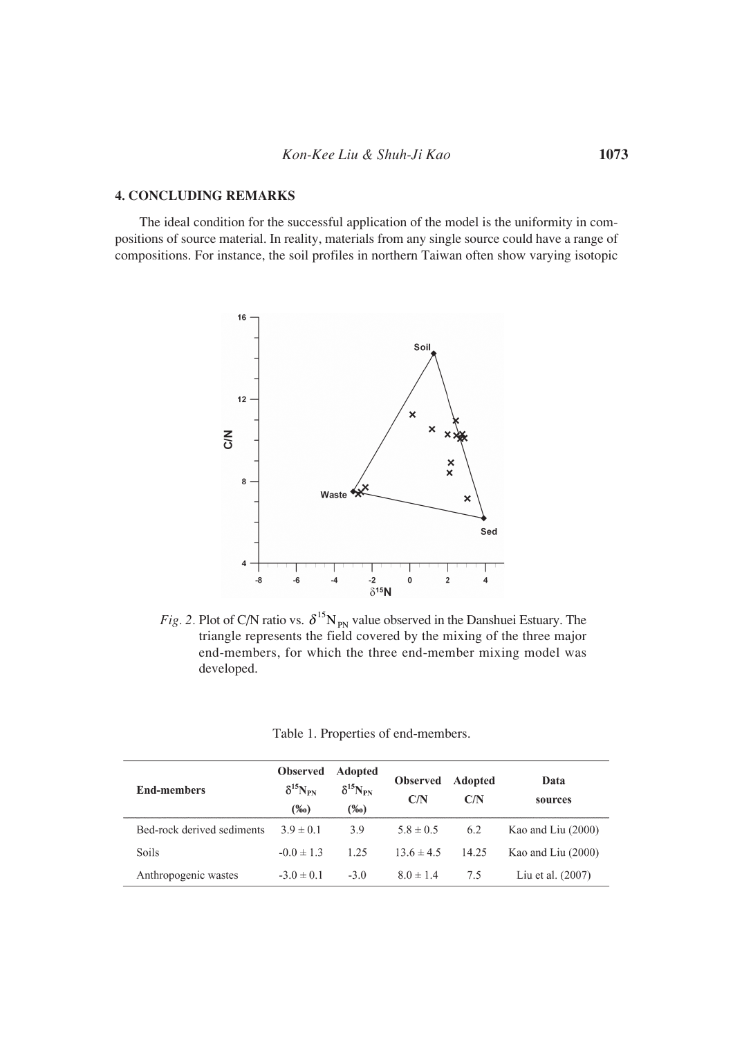## **4. CONCLUDING REMARKS**

The ideal condition for the successful application of the model is the uniformity in compositions of source material. In reality, materials from any single source could have a range of compositions. For instance, the soil profiles in northern Taiwan often show varying isotopic



*Fig. 2.* Plot of C/N ratio vs.  $\delta^{15}N_{PN}$  value observed in the Danshuei Estuary. The triangle represents the field covered by the mixing of the three major end-members, for which the three end-member mixing model was developed.

| Table 1. Properties of end-members. |  |  |  |
|-------------------------------------|--|--|--|
|-------------------------------------|--|--|--|

| <b>End-members</b>         | <b>Observed</b><br>$\delta^{15}N_{\rm PN}$<br>$(\%0)$ | <b>Adopted</b><br>$\delta^{15}N_{\rm PN}$<br>$(\%0)$ | <b>Observed</b><br>C/N | Adopted<br>C/N | Data<br>sources      |
|----------------------------|-------------------------------------------------------|------------------------------------------------------|------------------------|----------------|----------------------|
| Bed-rock derived sediments | $3.9 \pm 0.1$                                         | 3.9                                                  | $5.8 \pm 0.5$          | 6.2            | Kao and Liu $(2000)$ |
| <b>Soils</b>               | $-0.0 \pm 1.3$                                        | 1.25                                                 | $13.6 \pm 4.5$         | 14.25          | Kao and Liu (2000)   |
| Anthropogenic wastes       | $-3.0 \pm 0.1$                                        | $-3.0$                                               | $8.0 \pm 1.4$          | 7.5            | Liu et al. $(2007)$  |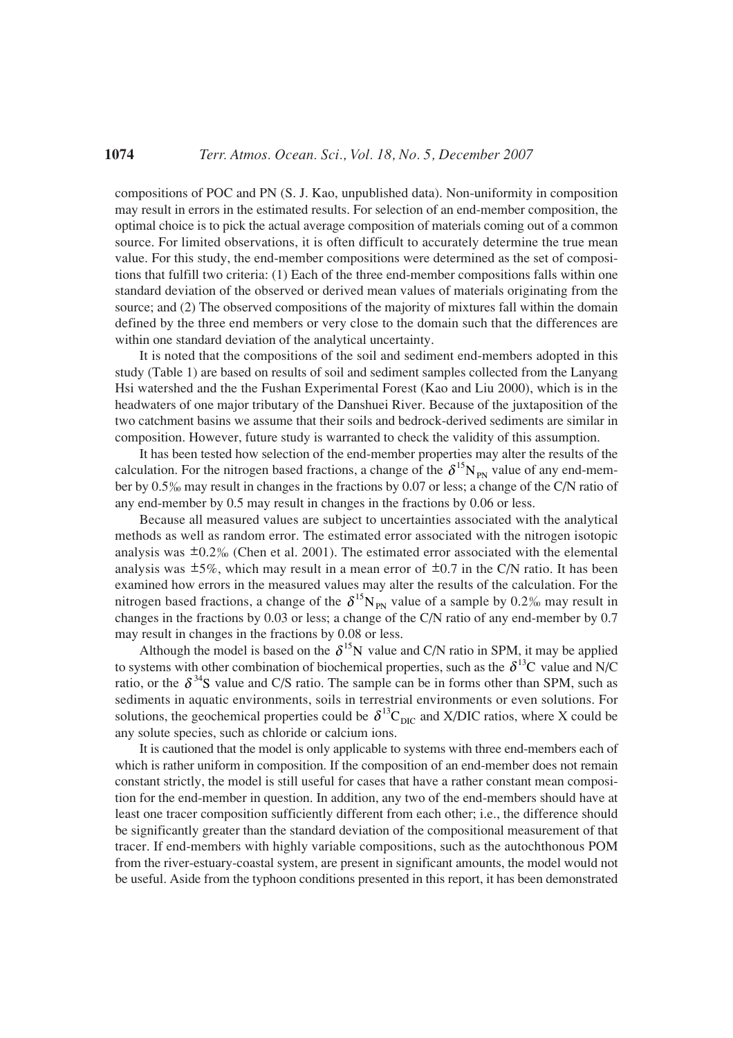compositions of POC and PN (S. J. Kao, unpublished data). Non-uniformity in composition may result in errors in the estimated results. For selection of an end-member composition, the optimal choice is to pick the actual average composition of materials coming out of a common source. For limited observations, it is often difficult to accurately determine the true mean value. For this study, the end-member compositions were determined as the set of compositions that fulfill two criteria: (1) Each of the three end-member compositions falls within one standard deviation of the observed or derived mean values of materials originating from the source; and (2) The observed compositions of the majority of mixtures fall within the domain defined by the three end members or very close to the domain such that the differences are within one standard deviation of the analytical uncertainty.

It is noted that the compositions of the soil and sediment end-members adopted in this study (Table 1) are based on results of soil and sediment samples collected from the Lanyang Hsi watershed and the the Fushan Experimental Forest (Kao and Liu 2000), which is in the headwaters of one major tributary of the Danshuei River. Because of the juxtaposition of the two catchment basins we assume that their soils and bedrock-derived sediments are similar in composition. However, future study is warranted to check the validity of this assumption.

It has been tested how selection of the end-member properties may alter the results of the calculation. For the nitrogen based fractions, a change of the  $\delta^{15}N_{PN}$  value of any end-member by 0.5% may result in changes in the fractions by 0.07 or less; a change of the C/N ratio of any end-member by 0.5 may result in changes in the fractions by 0.06 or less.

Because all measured values are subject to uncertainties associated with the analytical methods as well as random error. The estimated error associated with the nitrogen isotopic analysis was  $\pm 0.2\%$  (Chen et al. 2001). The estimated error associated with the elemental analysis was  $\pm 5\%$ , which may result in a mean error of  $\pm 0.7$  in the C/N ratio. It has been examined how errors in the measured values may alter the results of the calculation. For the nitrogen based fractions, a change of the  $\delta^{15}N_{PN}$  value of a sample by 0.2‰ may result in changes in the fractions by 0.03 or less; a change of the C/N ratio of any end-member by 0.7 may result in changes in the fractions by 0.08 or less.

Although the model is based on the  $\delta^{15}N$  value and C/N ratio in SPM, it may be applied to systems with other combination of biochemical properties, such as the  $\delta^{13}C$  value and N/C ratio, or the  $\delta^{34}S$  value and C/S ratio. The sample can be in forms other than SPM, such as sediments in aquatic environments, soils in terrestrial environments or even solutions. For solutions, the geochemical properties could be  $\delta^{13}C_{\text{DIC}}$  and X/DIC ratios, where X could be any solute species, such as chloride or calcium ions.

It is cautioned that the model is only applicable to systems with three end-members each of which is rather uniform in composition. If the composition of an end-member does not remain constant strictly, the model is still useful for cases that have a rather constant mean composition for the end-member in question. In addition, any two of the end-members should have at least one tracer composition sufficiently different from each other; i.e., the difference should be significantly greater than the standard deviation of the compositional measurement of that tracer. If end-members with highly variable compositions, such as the autochthonous POM from the river-estuary-coastal system, are present in significant amounts, the model would not be useful. Aside from the typhoon conditions presented in this report, it has been demonstrated